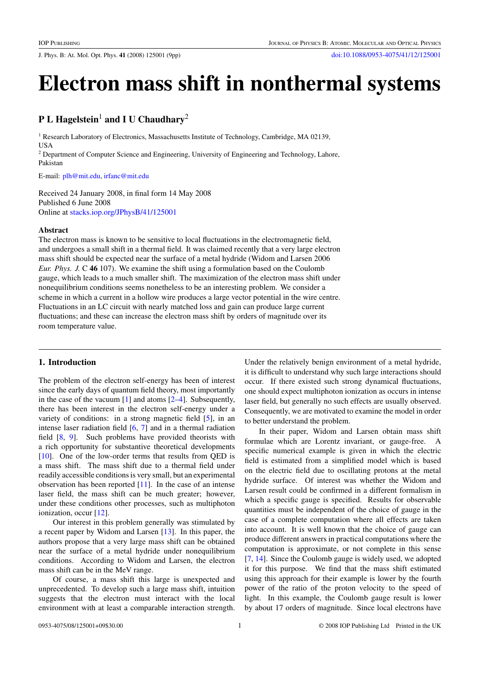J. Phys. B: At. Mol. Opt. Phys. **41** (2008) 125001 (9pp) [doi:10.1088/0953-4075/41/12/125001](http://dx.doi.org/10.1088/0953-4075/41/12/125001)

# **Electron mass shift in nonthermal systems**

## **P L Hagelstein**<sup>1</sup> **and I U Chaudhary**<sup>2</sup>

<sup>1</sup> Research Laboratory of Electronics, Massachusetts Institute of Technology, Cambridge, MA 02139, **USA** 

<sup>2</sup> Department of Computer Science and Engineering, University of Engineering and Technology, Lahore, Pakistan

E-mail: [plh@mit.edu,](mailto:plh@mit.edu) [irfanc@mit.edu](mailto:irfanc@mit.edu)

Received 24 January 2008, in final form 14 May 2008 Published 6 June 2008 Online at [stacks.iop.org/JPhysB/41/125001](http://stacks.iop.org/JPhysB/41/125001)

#### **Abstract**

The electron mass is known to be sensitive to local fluctuations in the electromagnetic field, and undergoes a small shift in a thermal field. It was claimed recently that a very large electron mass shift should be expected near the surface of a metal hydride (Widom and Larsen 2006 *Eur. Phys. J.* C **46** 107). We examine the shift using a formulation based on the Coulomb gauge, which leads to a much smaller shift. The maximization of the electron mass shift under nonequilibrium conditions seems nonetheless to be an interesting problem. We consider a scheme in which a current in a hollow wire produces a large vector potential in the wire centre. Fluctuations in an LC circuit with nearly matched loss and gain can produce large current fluctuations; and these can increase the electron mass shift by orders of magnitude over its room temperature value.

## **1. Introduction**

The problem of the electron self-energy has been of interest since the early days of quantum field theory, most importantly in the case of the vacuum  $[1]$  and atoms  $[2-4]$ . Subsequently, there has been interest in the electron self-energy under a variety of conditions: in a strong magnetic field [\[5\]](#page-8-0), in an intense laser radiation field  $[6, 7]$  $[6, 7]$  $[6, 7]$  and in a thermal radiation field [\[8,](#page-8-0) [9\]](#page-8-0). Such problems have provided theorists with a rich opportunity for substantive theoretical developments [\[10](#page-8-0)]. One of the low-order terms that results from QED is a mass shift. The mass shift due to a thermal field under readily accessible conditions is very small, but an experimental observation has been reported [\[11\]](#page-8-0). In the case of an intense laser field, the mass shift can be much greater; however, under these conditions other processes, such as multiphoton ionization, occur [\[12\]](#page-8-0).

Our interest in this problem generally was stimulated by a recent paper by Widom and Larsen [\[13](#page-8-0)]. In this paper, the authors propose that a very large mass shift can be obtained near the surface of a metal hydride under nonequilibrium conditions. According to Widom and Larsen, the electron mass shift can be in the MeV range.

Of course, a mass shift this large is unexpected and unprecedented. To develop such a large mass shift, intuition suggests that the electron must interact with the local environment with at least a comparable interaction strength. Under the relatively benign environment of a metal hydride, it is difficult to understand why such large interactions should occur. If there existed such strong dynamical fluctuations, one should expect multiphoton ionization as occurs in intense laser field, but generally no such effects are usually observed. Consequently, we are motivated to examine the model in order to better understand the problem.

In their paper, Widom and Larsen obtain mass shift formulae which are Lorentz invariant, or gauge-free. A specific numerical example is given in which the electric field is estimated from a simplified model which is based on the electric field due to oscillating protons at the metal hydride surface. Of interest was whether the Widom and Larsen result could be confirmed in a different formalism in which a specific gauge is specified. Results for observable quantities must be independent of the choice of gauge in the case of a complete computation where all effects are taken into account. It is well known that the choice of gauge can produce different answers in practical computations where the computation is approximate, or not complete in this sense [\[7](#page-8-0), [14](#page-8-0)]. Since the Coulomb gauge is widely used, we adopted it for this purpose. We find that the mass shift estimated using this approach for their example is lower by the fourth power of the ratio of the proton velocity to the speed of light. In this example, the Coulomb gauge result is lower by about 17 orders of magnitude. Since local electrons have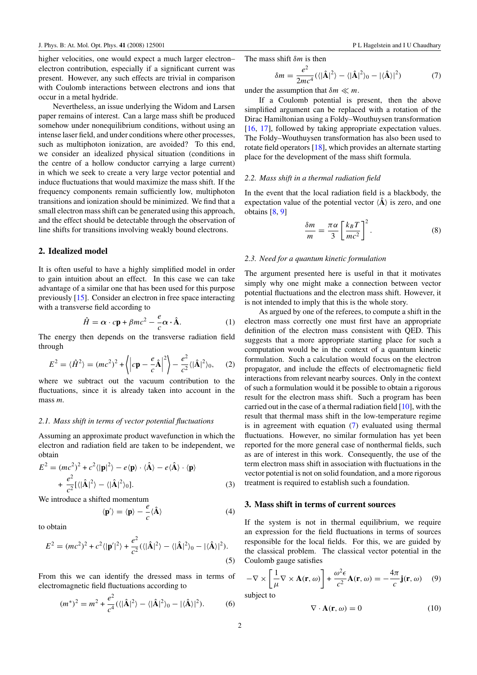<span id="page-1-0"></span>higher velocities, one would expect a much larger electron– electron contribution, especially if a significant current was present. However, any such effects are trivial in comparison with Coulomb interactions between electrons and ions that occur in a metal hydride.

Nevertheless, an issue underlying the Widom and Larsen paper remains of interest. Can a large mass shift be produced somehow under nonequilibrium conditions, without using an intense laser field, and under conditions where other processes, such as multiphoton ionization, are avoided? To this end, we consider an idealized physical situation (conditions in the centre of a hollow conductor carrying a large current) in which we seek to create a very large vector potential and induce fluctuations that would maximize the mass shift. If the frequency components remain sufficiently low, multiphoton transitions and ionization should be minimized. We find that a small electron mass shift can be generated using this approach, and the effect should be detectable through the observation of line shifts for transitions involving weakly bound electrons.

#### **2. Idealized model**

It is often useful to have a highly simplified model in order to gain intuition about an effect. In this case we can take advantage of a similar one that has been used for this purpose previously [\[15](#page-8-0)]. Consider an electron in free space interacting with a transverse field according to

$$
\hat{H} = \alpha \cdot cp + \beta mc^2 - \frac{e}{c} \alpha \cdot \hat{A}.
$$
 (1)

The energy then depends on the transverse radiation field through

$$
E2 = \langle \hat{H}^2 \rangle = (mc^2)^2 + \left\langle \left| cp - \frac{e}{c} \hat{A} \right|^2 \right\rangle - \frac{e^2}{c^2} \langle |\hat{A}|^2 \rangle_0, \quad (2)
$$

where we subtract out the vacuum contribution to the fluctuations, since it is already taken into account in the mass *m*.

#### *2.1. Mass shift in terms of vector potential fluctuations*

Assuming an approximate product wavefunction in which the electron and radiation field are taken to be independent, we obtain

$$
E^{2} = (mc^{2})^{2} + c^{2} \langle |\mathbf{p}|^{2} \rangle - e \langle \mathbf{p} \rangle \cdot \langle \hat{\mathbf{A}} \rangle - e \langle \hat{\mathbf{A}} \rangle \cdot \langle \mathbf{p} \rangle
$$
  
+ 
$$
\frac{e^{2}}{c^{2}} [\langle |\hat{\mathbf{A}}|^{2} \rangle - \langle |\hat{\mathbf{A}}|^{2} \rangle_{0}].
$$
 (3)

We introduce a shifted momentum

$$
\langle \mathbf{p}' \rangle = \langle \mathbf{p} \rangle - \frac{e}{c} \langle \hat{\mathbf{A}} \rangle \tag{4}
$$

to obtain

$$
E^{2} = (mc^{2})^{2} + c^{2} \langle |\mathbf{p}'|^{2} \rangle + \frac{e^{2}}{c^{2}} (\langle |\hat{\mathbf{A}}|^{2} \rangle - \langle |\hat{\mathbf{A}}|^{2} \rangle_{0} - |\langle \hat{\mathbf{A}} \rangle|^{2}).
$$
\n(5)

From this we can identify the dressed mass in terms of electromagnetic field fluctuations according to

$$
(m^*)^2 = m^2 + \frac{e^2}{c^4} (\langle |\hat{\mathbf{A}}|^2 \rangle - \langle |\hat{\mathbf{A}}|^2 \rangle_0 - |\langle \hat{\mathbf{A}} \rangle|^2). \tag{6}
$$

The mass shift *δm* is then

$$
\delta m = \frac{e^2}{2mc^4} (\langle |\hat{\mathbf{A}}|^2 \rangle - \langle |\hat{\mathbf{A}}|^2 \rangle_0 - |\langle \hat{\mathbf{A}} \rangle|^2)
$$
 (7)

under the assumption that  $\delta m \ll m$ .

If a Coulomb potential is present, then the above simplified argument can be replaced with a rotation of the Dirac Hamiltonian using a Foldy–Wouthuysen transformation [\[16](#page-8-0), [17\]](#page-8-0), followed by taking appropriate expectation values. The Foldy–Wouthuysen transformation has also been used to rotate field operators [\[18](#page-8-0)], which provides an alternate starting place for the development of the mass shift formula.

#### *2.2. Mass shift in a thermal radiation field*

In the event that the local radiation field is a blackbody, the expectation value of the potential vector  $\langle \hat{A} \rangle$  is zero, and one obtains [\[8,](#page-8-0) [9\]](#page-8-0)

$$
\frac{\delta m}{m} = \frac{\pi \alpha}{3} \left[ \frac{k_B T}{mc^2} \right]^2.
$$
 (8)

#### *2.3. Need for a quantum kinetic formulation*

The argument presented here is useful in that it motivates simply why one might make a connection between vector potential fluctuations and the electron mass shift. However, it is not intended to imply that this is the whole story.

As argued by one of the referees, to compute a shift in the electron mass correctly one must first have an appropriate definition of the electron mass consistent with QED. This suggests that a more appropriate starting place for such a computation would be in the context of a quantum kinetic formulation. Such a calculation would focus on the electron propagator, and include the effects of electromagnetic field interactions from relevant nearby sources. Only in the context of such a formulation would it be possible to obtain a rigorous result for the electron mass shift. Such a program has been carried out in the case of a thermal radiation field [\[10\]](#page-8-0), with the result that thermal mass shift in the low-temperature regime is in agreement with equation (7) evaluated using thermal fluctuations. However, no similar formulation has yet been reported for the more general case of nonthermal fields, such as are of interest in this work. Consequently, the use of the term electron mass shift in association with fluctuations in the vector potential is not on solid foundation, and a more rigorous treatment is required to establish such a foundation.

## **3. Mass shift in terms of current sources**

If the system is not in thermal equilibrium, we require an expression for the field fluctuations in terms of sources responsible for the local fields. For this, we are guided by the classical problem. The classical vector potential in the Coulomb gauge satisfies

$$
-\nabla \times \left[\frac{1}{\mu}\nabla \times \mathbf{A}(\mathbf{r},\omega)\right] + \frac{\omega^2 \epsilon}{c^2} \mathbf{A}(\mathbf{r},\omega) = -\frac{4\pi}{c}\mathbf{j}(\mathbf{r},\omega) \quad (9)
$$

subject to

$$
\nabla \cdot \mathbf{A}(\mathbf{r}, \omega) = 0 \tag{10}
$$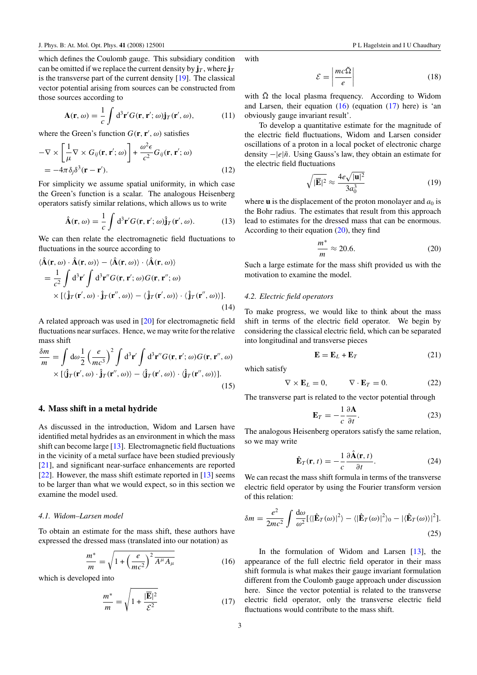which defines the Coulomb gauge. This subsidiary condition can be omitted if we replace the current density by  $\mathbf{j}_T$ , where  $\mathbf{j}_T$ is the transverse part of the current density [\[19](#page-8-0)]. The classical vector potential arising from sources can be constructed from those sources according to

$$
\mathbf{A}(\mathbf{r},\omega) = \frac{1}{c} \int d^3 \mathbf{r}' G(\mathbf{r}, \mathbf{r}'; \omega) \mathbf{j}_T(\mathbf{r}', \omega), \tag{11}
$$

where the Green's function  $G(\mathbf{r}, \mathbf{r}', \omega)$  satisfies

$$
-\nabla \times \left[\frac{1}{\mu}\nabla \times G_{ij}(\mathbf{r}, \mathbf{r}'; \omega)\right] + \frac{\omega^2 \epsilon}{c^2} G_{ij}(\mathbf{r}, \mathbf{r}'; \omega)
$$
  
=  $-4\pi \delta_j \delta^3(\mathbf{r} - \mathbf{r}').$  (12)

For simplicity we assume spatial uniformity, in which case the Green's function is a scalar. The analogous Heisenberg operators satisfy similar relations, which allows us to write

$$
\hat{\mathbf{A}}(\mathbf{r},\omega) = \frac{1}{c} \int d^3 \mathbf{r}' G(\mathbf{r}, \mathbf{r}'; \omega) \hat{\mathbf{j}}_T(\mathbf{r}', \omega).
$$
 (13)

We can then relate the electromagnetic field fluctuations to fluctuations in the source according to

$$
\langle \hat{\mathbf{A}}(\mathbf{r}, \omega) \cdot \hat{\mathbf{A}}(\mathbf{r}, \omega) \rangle - \langle \hat{\mathbf{A}}(\mathbf{r}, \omega) \rangle \cdot \langle \hat{\mathbf{A}}(\mathbf{r}, \omega) \rangle \n= \frac{1}{c^2} \int d^3 \mathbf{r}' \int d^3 \mathbf{r}'' G(\mathbf{r}, \mathbf{r}'; \omega) G(\mathbf{r}, \mathbf{r}''; \omega) \n\times \left[ \langle \hat{\mathbf{j}}_T(\mathbf{r}', \omega) \cdot \hat{\mathbf{j}}_T(\mathbf{r}'', \omega) \rangle - \langle \hat{\mathbf{j}}_T(\mathbf{r}', \omega) \rangle \cdot \langle \hat{\mathbf{j}}_T(\mathbf{r}'', \omega) \rangle \right].
$$
\n(14)

A related approach was used in [\[20](#page-8-0)] for electromagnetic field fluctuations near surfaces. Hence, we may write for the relative mass shift

$$
\frac{\delta m}{m} = \int d\omega \frac{1}{2} \left(\frac{e}{mc^3}\right)^2 \int d^3 \mathbf{r}' \int d^3 \mathbf{r}'' G(\mathbf{r}, \mathbf{r}'; \omega) G(\mathbf{r}, \mathbf{r}'', \omega) \times \left[ \langle \hat{\mathbf{j}}_T(\mathbf{r}', \omega) \cdot \hat{\mathbf{j}}_T(\mathbf{r}'', \omega) \rangle - \langle \hat{\mathbf{j}}_T(\mathbf{r}', \omega) \rangle \cdot \langle \hat{\mathbf{j}}_T(\mathbf{r}'', \omega) \rangle \right].
$$
\n(15)

## **4. Mass shift in a metal hydride**

As discussed in the introduction, Widom and Larsen have identified metal hydrides as an environment in which the mass shift can become large [\[13\]](#page-8-0). Electromagnetic field fluctuations in the vicinity of a metal surface have been studied previously [\[21](#page-8-0)], and significant near-surface enhancements are reported [\[22](#page-8-0)]. However, the mass shift estimate reported in [\[13](#page-8-0)] seems to be larger than what we would expect, so in this section we examine the model used.

## *4.1. Widom–Larsen model*

To obtain an estimate for the mass shift, these authors have expressed the dressed mass (translated into our notation) as

$$
\frac{m^*}{m} = \sqrt{1 + \left(\frac{e}{mc^2}\right)^2 \overline{A^\mu A_\mu}}
$$
(16)

which is developed into

$$
\frac{m^*}{m} = \sqrt{1 + \frac{|\overline{\mathbf{E}}|^2}{\mathcal{E}^2}}
$$
(17)

with

$$
\mathcal{E} = \left| \frac{mc\tilde{\Omega}}{e} \right| \tag{18}
$$

with  $\tilde{\Omega}$  the local plasma frequency. According to Widom and Larsen, their equation  $(16)$  (equation  $(17)$  here) is 'an obviously gauge invariant result'.

To develop a quantitative estimate for the magnitude of the electric field fluctuations, Widom and Larsen consider oscillations of a proton in a local pocket of electronic charge density  $-|e|\tilde{n}$ . Using Gauss's law, they obtain an estimate for the electric field fluctuations

$$
\sqrt{|\mathbf{E}|^2} \approx \frac{4e\sqrt{|\mathbf{u}|^2}}{3a_0^3} \tag{19}
$$

where  $\bf{u}$  is the displacement of the proton monolayer and  $a_0$  is the Bohr radius. The estimates that result from this approach lead to estimates for the dressed mass that can be enormous. According to their equation (20), they find

$$
\frac{m^*}{m} \approx 20.6.\t(20)
$$

Such a large estimate for the mass shift provided us with the motivation to examine the model.

## *4.2. Electric field operators*

To make progress, we would like to think about the mass shift in terms of the electric field operator. We begin by considering the classical electric field, which can be separated into longitudinal and transverse pieces

$$
\mathbf{E} = \mathbf{E}_L + \mathbf{E}_T \tag{21}
$$

which satisfy

$$
\nabla \times \mathbf{E}_L = 0, \qquad \nabla \cdot \mathbf{E}_T = 0. \tag{22}
$$

The transverse part is related to the vector potential through

$$
\mathbf{E}_T = -\frac{1}{c} \frac{\partial \mathbf{A}}{\partial t}.
$$
 (23)

The analogous Heisenberg operators satisfy the same relation, so we may write

$$
\hat{\mathbf{E}}_T(\mathbf{r},t) = -\frac{1}{c} \frac{\partial \hat{\mathbf{A}}(\mathbf{r},t)}{\partial t}.
$$
 (24)

We can recast the mass shift formula in terms of the transverse electric field operator by using the Fourier transform version of this relation:

$$
\delta m = \frac{e^2}{2mc^2} \int \frac{d\omega}{\omega^2} [ \langle |\hat{\mathbf{E}}_T(\omega)|^2 \rangle - \langle |\hat{\mathbf{E}}_T(\omega)|^2 \rangle_0 - | \langle \hat{\mathbf{E}}_T(\omega) \rangle |^2 ].
$$
\n(25)

In the formulation of Widom and Larsen [\[13](#page-8-0)], the appearance of the full electric field operator in their mass shift formula is what makes their gauge invariant formulation different from the Coulomb gauge approach under discussion here. Since the vector potential is related to the transverse electric field operator, only the transverse electric field fluctuations would contribute to the mass shift.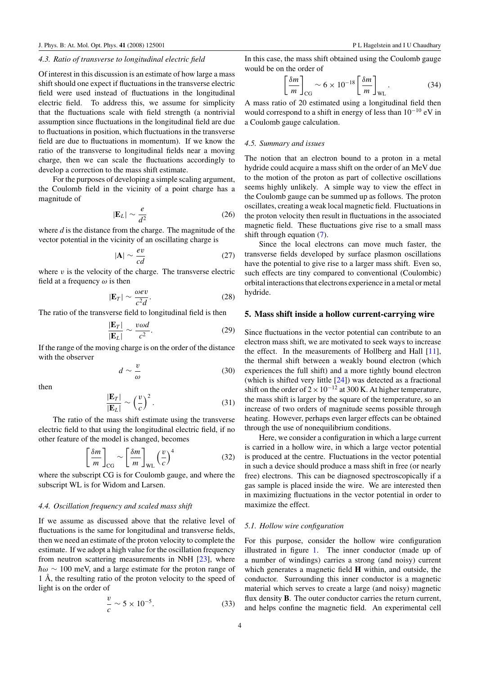#### *4.3. Ratio of transverse to longitudinal electric field*

Of interest in this discussion is an estimate of how large a mass shift should one expect if fluctuations in the transverse electric field were used instead of fluctuations in the longitudinal electric field. To address this, we assume for simplicity that the fluctuations scale with field strength (a nontrivial assumption since fluctuations in the longitudinal field are due to fluctuations in position, which fluctuations in the transverse field are due to fluctuations in momentum). If we know the ratio of the transverse to longitudinal fields near a moving charge, then we can scale the fluctuations accordingly to develop a correction to the mass shift estimate.

For the purposes of developing a simple scaling argument, the Coulomb field in the vicinity of a point charge has a magnitude of

$$
|\mathbf{E}_L| \sim \frac{e}{d^2} \tag{26}
$$

where *d* is the distance from the charge. The magnitude of the vector potential in the vicinity of an oscillating charge is

$$
|\mathbf{A}| \sim \frac{ev}{cd} \tag{27}
$$

where  $v$  is the velocity of the charge. The transverse electric field at a frequency *ω* is then

$$
|\mathbf{E}_T| \sim \frac{\omega ev}{c^2 d}.\tag{28}
$$

The ratio of the transverse field to longitudinal field is then

$$
\frac{|\mathbf{E}_T|}{|\mathbf{E}_L|} \sim \frac{v\omega d}{c^2}.
$$
 (29)

If the range of the moving charge is on the order of the distance with the observer

$$
d \sim \frac{v}{\omega} \tag{30}
$$

then

$$
\frac{|\mathbf{E}_T|}{|\mathbf{E}_L|} \sim \left(\frac{v}{c}\right)^2.
$$
 (31)

The ratio of the mass shift estimate using the transverse electric field to that using the longitudinal electric field, if no other feature of the model is changed, becomes

$$
\left[\frac{\delta m}{m}\right]_{\text{CG}} \sim \left[\frac{\delta m}{m}\right]_{\text{WL}} \left(\frac{v}{c}\right)^4 \tag{32}
$$

where the subscript CG is for Coulomb gauge, and where the subscript WL is for Widom and Larsen.

## *4.4. Oscillation frequency and scaled mass shift*

If we assume as discussed above that the relative level of fluctuations is the same for longitudinal and transverse fields, then we need an estimate of the proton velocity to complete the estimate. If we adopt a high value for the oscillation frequency from neutron scattering measurements in NbH [\[23\]](#page-8-0), where  $\hbar\omega \sim 100$  meV, and a large estimate for the proton range of 1 Å, the resulting ratio of the proton velocity to the speed of light is on the order of

$$
\frac{v}{c} \sim 5 \times 10^{-5}.\tag{33}
$$

In this case, the mass shift obtained using the Coulomb gauge would be on the order of

$$
\left[\frac{\delta m}{m}\right]_{\text{CG}} \sim 6 \times 10^{-18} \left[\frac{\delta m}{m}\right]_{\text{WL}}.\tag{34}
$$

A mass ratio of 20 estimated using a longitudinal field then would correspond to a shift in energy of less than  $10^{-10}$  eV in a Coulomb gauge calculation.

#### *4.5. Summary and issues*

The notion that an electron bound to a proton in a metal hydride could acquire a mass shift on the order of an MeV due to the motion of the proton as part of collective oscillations seems highly unlikely. A simple way to view the effect in the Coulomb gauge can be summed up as follows. The proton oscillates, creating a weak local magnetic field. Fluctuations in the proton velocity then result in fluctuations in the associated magnetic field. These fluctuations give rise to a small mass shift through equation [\(7\)](#page-1-0).

Since the local electrons can move much faster, the transverse fields developed by surface plasmon oscillations have the potential to give rise to a larger mass shift. Even so, such effects are tiny compared to conventional (Coulombic) orbital interactions that electrons experience in a metal or metal hydride.

#### **5. Mass shift inside a hollow current-carrying wire**

Since fluctuations in the vector potential can contribute to an electron mass shift, we are motivated to seek ways to increase the effect. In the measurements of Hollberg and Hall [\[11](#page-8-0)], the thermal shift between a weakly bound electron (which experiences the full shift) and a more tightly bound electron (which is shifted very little [\[24\]](#page-8-0)) was detected as a fractional shift on the order of  $2 \times 10^{-12}$  at 300 K. At higher temperature, the mass shift is larger by the square of the temperature, so an increase of two orders of magnitude seems possible through heating. However, perhaps even larger effects can be obtained through the use of nonequilibrium conditions.

Here, we consider a configuration in which a large current is carried in a hollow wire, in which a large vector potential is produced at the centre. Fluctuations in the vector potential in such a device should produce a mass shift in free (or nearly free) electrons. This can be diagnosed spectroscopically if a gas sample is placed inside the wire. We are interested then in maximizing fluctuations in the vector potential in order to maximize the effect.

#### *5.1. Hollow wire configuration*

For this purpose, consider the hollow wire configuration illustrated in figure [1.](#page-4-0) The inner conductor (made up of a number of windings) carries a strong (and noisy) current which generates a magnetic field **H** within, and outside, the conductor. Surrounding this inner conductor is a magnetic material which serves to create a large (and noisy) magnetic flux density **B**. The outer conductor carries the return current, and helps confine the magnetic field. An experimental cell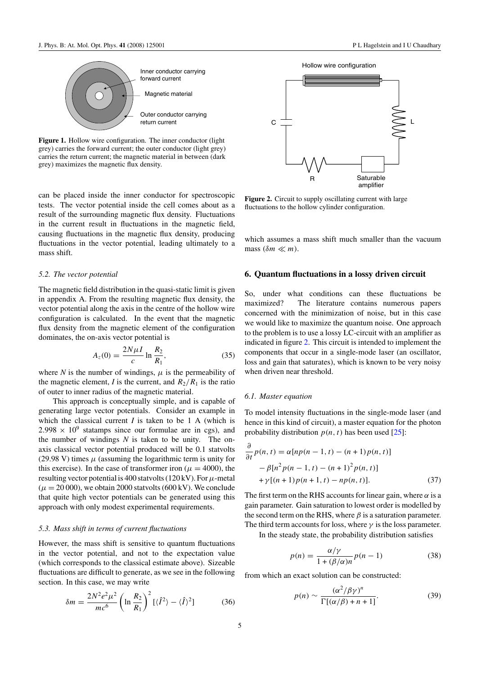<span id="page-4-0"></span>

Figure 1. Hollow wire configuration. The inner conductor (light grey) carries the forward current; the outer conductor (light grey) carries the return current; the magnetic material in between (dark grey) maximizes the magnetic flux density.

can be placed inside the inner conductor for spectroscopic tests. The vector potential inside the cell comes about as a result of the surrounding magnetic flux density. Fluctuations in the current result in fluctuations in the magnetic field, causing fluctuations in the magnetic flux density, producing fluctuations in the vector potential, leading ultimately to a mass shift.

#### *5.2. The vector potential*

The magnetic field distribution in the quasi-static limit is given in appendix A. From the resulting magnetic flux density, the vector potential along the axis in the centre of the hollow wire configuration is calculated. In the event that the magnetic flux density from the magnetic element of the configuration dominates, the on-axis vector potential is

$$
A_z(0) = \frac{2N\mu I}{c} \ln \frac{R_2}{R_1},
$$
\n(35)

where  $N$  is the number of windings,  $\mu$  is the permeability of the magnetic element, *I* is the current, and  $R_2/R_1$  is the ratio of outer to inner radius of the magnetic material.

This approach is conceptually simple, and is capable of generating large vector potentials. Consider an example in which the classical current *I* is taken to be 1 A (which is  $2.998 \times 10^9$  statamps since our formulae are in cgs), and the number of windings *N* is taken to be unity. The onaxis classical vector potential produced will be 0.1 statvolts (29.98 V) times  $\mu$  (assuming the logarithmic term is unity for this exercise). In the case of transformer iron ( $\mu = 4000$ ), the resulting vector potential is 400 statvolts (120 kV). For  $\mu$ -metal  $(\mu = 20000)$ , we obtain 2000 statvolts (600 kV). We conclude that quite high vector potentials can be generated using this approach with only modest experimental requirements.

#### *5.3. Mass shift in terms of current fluctuations*

However, the mass shift is sensitive to quantum fluctuations in the vector potential, and not to the expectation value (which corresponds to the classical estimate above). Sizeable fluctuations are difficult to generate, as we see in the following section. In this case, we may write

$$
\delta m = \frac{2N^2 e^2 \mu^2}{mc^6} \left( \ln \frac{R_2}{R_1} \right)^2 \left[ \langle \hat{I}^2 \rangle - \langle \hat{I} \rangle^2 \right] \tag{36}
$$





**Figure 2.** Circuit to supply oscillating current with large fluctuations to the hollow cylinder configuration.

which assumes a mass shift much smaller than the vacuum mass  $(\delta m \ll m)$ .

#### **6. Quantum fluctuations in a lossy driven circuit**

So, under what conditions can these fluctuations be maximized? The literature contains numerous papers concerned with the minimization of noise, but in this case we would like to maximize the quantum noise. One approach to the problem is to use a lossy LC-circuit with an amplifier as indicated in figure 2. This circuit is intended to implement the components that occur in a single-mode laser (an oscillator, loss and gain that saturates), which is known to be very noisy when driven near threshold.

#### *6.1. Master equation*

To model intensity fluctuations in the single-mode laser (and hence in this kind of circuit), a master equation for the photon probability distribution  $p(n, t)$  has been used [\[25](#page-8-0)]:

$$
\frac{\partial}{\partial t}p(n, t) = \alpha [np(n - 1, t) - (n + 1)p(n, t)] \n- \beta [n^2 p(n - 1, t) - (n + 1)^2 p(n, t)] \n+ \gamma [(n + 1)p(n + 1, t) - np(n, t)].
$$
\n(37)

The first term on the RHS accounts for linear gain, where  $\alpha$  is a gain parameter. Gain saturation to lowest order is modelled by the second term on the RHS, where  $\beta$  is a saturation parameter. The third term accounts for loss, where  $\gamma$  is the loss parameter.

In the steady state, the probability distribution satisfies

$$
p(n) = \frac{\alpha/\gamma}{1 + (\beta/\alpha)n} p(n-1)
$$
 (38)

from which an exact solution can be constructed:

$$
p(n) \sim \frac{(\alpha^2/\beta\gamma)^n}{\Gamma[(\alpha/\beta) + n + 1]}.
$$
 (39)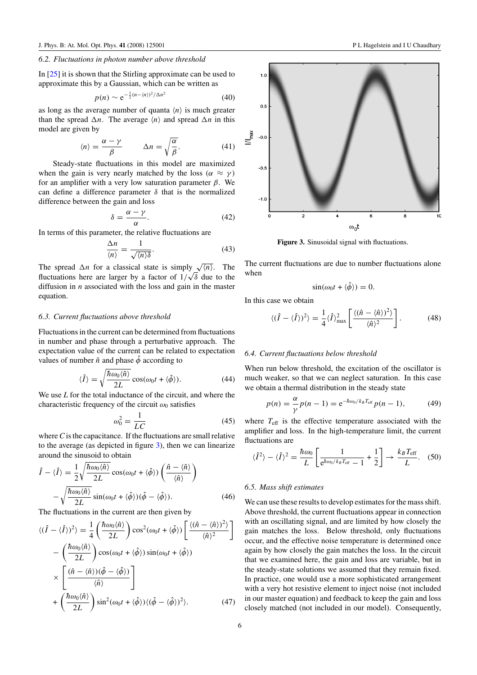## *6.2. Fluctuations in photon number above threshold*

In [\[25\]](#page-8-0) it is shown that the Stirling approximate can be used to approximate this by a Gaussian, which can be written as

$$
p(n) \sim e^{-\frac{1}{2}(n - \langle n \rangle)^2 / \Delta n^2}
$$
 (40)

as long as the average number of quanta  $\langle n \rangle$  is much greater than the spread  $\Delta n$ . The average  $\langle n \rangle$  and spread  $\Delta n$  in this model are given by

$$
\langle n \rangle = \frac{\alpha - \gamma}{\beta} \qquad \Delta n = \sqrt{\frac{\alpha}{\beta}}.
$$
 (41)

Steady-state fluctuations in this model are maximized when the gain is very nearly matched by the loss  $(\alpha \approx \gamma)$ for an amplifier with a very low saturation parameter *β*. We can define a difference parameter *δ* that is the normalized difference between the gain and loss

$$
\delta = \frac{\alpha - \gamma}{\alpha}.\tag{42}
$$

In terms of this parameter, the relative fluctuations are

$$
\frac{\Delta n}{\langle n \rangle} = \frac{1}{\sqrt{\langle n \rangle \delta}}.\tag{43}
$$

The spread  $\Delta n$  for a classical state is simply  $\sqrt{\langle n \rangle}$ . The fluctuations here are larger by a factor of  $1/\sqrt{\delta}$  due to the diffusion in *n* associated with the loss and gain in the master equation.

#### *6.3. Current fluctuations above threshold*

Fluctuations in the current can be determined from fluctuations in number and phase through a perturbative approach. The expectation value of the current can be related to expectation values of number  $\hat{n}$  and phase  $\hat{\phi}$  according to

$$
\langle \hat{I} \rangle = \sqrt{\frac{\hbar \omega_0 \langle \hat{n} \rangle}{2L}} \cos(\omega_0 t + \langle \hat{\phi} \rangle). \tag{44}
$$

We use *L* for the total inductance of the circuit, and where the characteristic frequency of the circuit  $\omega_0$  satisfies

$$
\omega_0^2 = \frac{1}{LC} \tag{45}
$$

where *C* is the capacitance. If the fluctuations are small relative to the average (as depicted in figure 3), then we can linearize around the sinusoid to obtain

$$
\hat{I} - \langle \hat{I} \rangle = \frac{1}{2} \sqrt{\frac{\hbar \omega_0 \langle \hat{n} \rangle}{2L}} \cos(\omega_0 t + \langle \hat{\phi} \rangle) \left( \frac{\hat{n} - \langle \hat{n} \rangle}{\langle \hat{n} \rangle} \right) \n- \sqrt{\frac{\hbar \omega_0 \langle \hat{n} \rangle}{2L}} \sin(\omega_0 t + \langle \hat{\phi} \rangle) (\hat{\phi} - \langle \hat{\phi} \rangle).
$$
\n(46)

The fluctuations in the current are then given by

$$
\langle (\hat{I} - \langle \hat{I} \rangle)^2 \rangle = \frac{1}{4} \left( \frac{\hbar \omega_0 \langle \hat{n} \rangle}{2L} \right) \cos^2(\omega_0 t + \langle \hat{\phi} \rangle) \left[ \frac{\langle (\hat{n} - \langle \hat{n} \rangle)^2 \rangle}{\langle \hat{n} \rangle^2} \right]
$$

$$
- \left( \frac{\hbar \omega_0 \langle \hat{n} \rangle}{2L} \right) \cos(\omega_0 t + \langle \hat{\phi} \rangle) \sin(\omega_0 t + \langle \hat{\phi} \rangle)
$$

$$
\times \left[ \frac{(\hat{n} - \langle \hat{n} \rangle)(\hat{\phi} - \langle \hat{\phi} \rangle)}{\langle \hat{n} \rangle} \right]
$$

$$
+ \left( \frac{\hbar \omega_0 \langle \hat{n} \rangle}{2L} \right) \sin^2(\omega_0 t + \langle \hat{\phi} \rangle) \langle (\hat{\phi} - \langle \hat{\phi} \rangle)^2 \rangle.
$$
(47)



**Figure 3.** Sinusoidal signal with fluctuations.

The current fluctuations are due to number fluctuations alone when

$$
\sin(\omega_0 t + \langle \hat{\phi} \rangle) = 0.
$$

In this case we obtain

$$
\langle (\hat{I} - \langle \hat{I} \rangle)^2 \rangle = \frac{1}{4} \langle \hat{I} \rangle_{\text{max}}^2 \left[ \frac{\langle (\hat{n} - \langle \hat{n} \rangle)^2 \rangle}{\langle \hat{n} \rangle^2} \right]. \tag{48}
$$

#### *6.4. Current fluctuations below threshold*

When run below threshold, the excitation of the oscillator is much weaker, so that we can neglect saturation. In this case we obtain a thermal distribution in the steady state

$$
p(n) = \frac{\alpha}{\gamma} p(n-1) = e^{-\hbar \omega_0 / k_B T_{\text{eff}}} p(n-1),
$$
 (49)

where  $T_{\text{eff}}$  is the effective temperature associated with the amplifier and loss. In the high-temperature limit, the current fluctuations are

$$
\langle \hat{I}^2 \rangle - \langle \hat{I} \rangle^2 = \frac{\hbar \omega_0}{L} \left[ \frac{1}{e^{\hbar \omega_0 / k_B T_{\text{eff}}} - 1} + \frac{1}{2} \right] \to \frac{k_B T_{\text{eff}}}{L}.
$$
 (50)

#### *6.5. Mass shift estimates*

We can use these results to develop estimates for the mass shift. Above threshold, the current fluctuations appear in connection with an oscillating signal, and are limited by how closely the gain matches the loss. Below threshold, only fluctuations occur, and the effective noise temperature is determined once again by how closely the gain matches the loss. In the circuit that we examined here, the gain and loss are variable, but in the steady-state solutions we assumed that they remain fixed. In practice, one would use a more sophisticated arrangement with a very hot resistive element to inject noise (not included in our master equation) and feedback to keep the gain and loss closely matched (not included in our model). Consequently,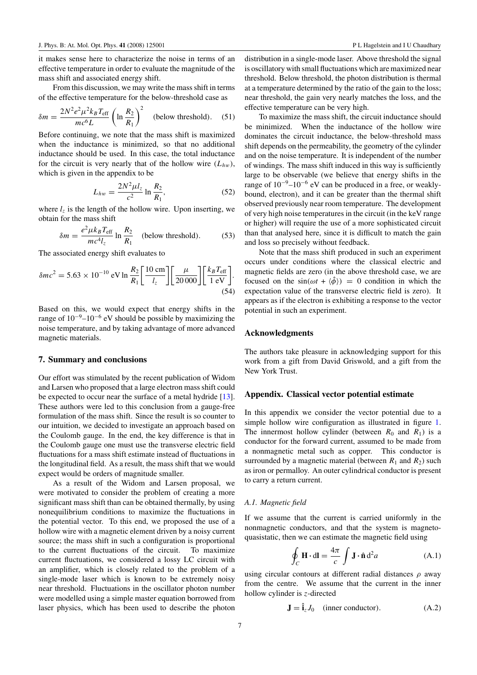<span id="page-6-0"></span>it makes sense here to characterize the noise in terms of an effective temperature in order to evaluate the magnitude of the mass shift and associated energy shift.

From this discussion, we may write the mass shift in terms of the effective temperature for the below-threshold case as

$$
\delta m = \frac{2N^2 e^2 \mu^2 k_B T_{\text{eff}}}{mc^6 L} \left( \ln \frac{R_2}{R_1} \right)^2 \quad \text{(below threshold)}.\tag{51}
$$

Before continuing, we note that the mass shift is maximized when the inductance is minimized, so that no additional inductance should be used. In this case, the total inductance for the circuit is very nearly that of the hollow wire  $(L<sub>hw</sub>)$ , which is given in the appendix to be

$$
L_{hw} = \frac{2N^2\mu l_z}{c^2} \ln \frac{R_2}{R_1},
$$
 (52)

where  $l_z$  is the length of the hollow wire. Upon inserting, we obtain for the mass shift

$$
\delta m = \frac{e^2 \mu k_B T_{\text{eff}}}{m c^4 l_z} \ln \frac{R_2}{R_1} \quad \text{(below threshold)}.\tag{53}
$$

The associated energy shift evaluates to

$$
\delta mc^2 = 5.63 \times 10^{-10} \text{ eV} \ln \frac{R_2}{R_1} \left[ \frac{10 \text{ cm}}{l_z} \right] \left[ \frac{\mu}{20\,000} \right] \left[ \frac{k_B T_{\text{eff}}}{1 \text{ eV}} \right].
$$
\n(54)

Based on this, we would expect that energy shifts in the range of  $10^{-9}$ – $10^{-6}$  eV should be possible by maximizing the noise temperature, and by taking advantage of more advanced magnetic materials.

#### **7. Summary and conclusions**

Our effort was stimulated by the recent publication of Widom and Larsen who proposed that a large electron mass shift could be expected to occur near the surface of a metal hydride [\[13](#page-8-0)]. These authors were led to this conclusion from a gauge-free formulation of the mass shift. Since the result is so counter to our intuition, we decided to investigate an approach based on the Coulomb gauge. In the end, the key difference is that in the Coulomb gauge one must use the transverse electric field fluctuations for a mass shift estimate instead of fluctuations in the longitudinal field. As a result, the mass shift that we would expect would be orders of magnitude smaller.

As a result of the Widom and Larsen proposal, we were motivated to consider the problem of creating a more significant mass shift than can be obtained thermally, by using nonequilibrium conditions to maximize the fluctuations in the potential vector. To this end, we proposed the use of a hollow wire with a magnetic element driven by a noisy current source; the mass shift in such a configuration is proportional to the current fluctuations of the circuit. To maximize current fluctuations, we considered a lossy LC circuit with an amplifier, which is closely related to the problem of a single-mode laser which is known to be extremely noisy near threshold. Fluctuations in the oscillator photon number were modelled using a simple master equation borrowed from laser physics, which has been used to describe the photon distribution in a single-mode laser. Above threshold the signal is oscillatory with small fluctuations which are maximized near threshold. Below threshold, the photon distribution is thermal at a temperature determined by the ratio of the gain to the loss; near threshold, the gain very nearly matches the loss, and the effective temperature can be very high.

To maximize the mass shift, the circuit inductance should be minimized. When the inductance of the hollow wire dominates the circuit inductance, the below-threshold mass shift depends on the permeability, the geometry of the cylinder and on the noise temperature. It is independent of the number of windings. The mass shift induced in this way is sufficiently large to be observable (we believe that energy shifts in the range of  $10^{-9}$ – $10^{-6}$  eV can be produced in a free, or weaklybound, electron), and it can be greater than the thermal shift observed previously near room temperature. The development of very high noise temperatures in the circuit (in the keV range or higher) will require the use of a more sophisticated circuit than that analysed here, since it is difficult to match the gain and loss so precisely without feedback.

Note that the mass shift produced in such an experiment occurs under conditions where the classical electric and magnetic fields are zero (in the above threshold case, we are focused on the  $sin(\omega t + \langle \hat{\phi} \rangle) = 0$  condition in which the expectation value of the transverse electric field is zero). It appears as if the electron is exhibiting a response to the vector potential in such an experiment.

#### **Acknowledgments**

The authors take pleasure in acknowledging support for this work from a gift from David Griswold, and a gift from the New York Trust.

## **Appendix. Classical vector potential estimate**

In this appendix we consider the vector potential due to a simple hollow wire configuration as illustrated in figure [1.](#page-7-0) The innermost hollow cylinder (between  $R_0$  and  $R_1$ ) is a conductor for the forward current, assumed to be made from a nonmagnetic metal such as copper. This conductor is surrounded by a magnetic material (between  $R_1$  and  $R_2$ ) such as iron or permalloy. An outer cylindrical conductor is present to carry a return current.

## *A.1. Magnetic field*

If we assume that the current is carried uniformly in the nonmagnetic conductors, and that the system is magnetoquasistatic, then we can estimate the magnetic field using

$$
\oint_C \mathbf{H} \cdot d\mathbf{l} = \frac{4\pi}{c} \int \mathbf{J} \cdot \hat{\mathbf{n}} d^2 a
$$
\n(A.1)

using circular contours at different radial distances *ρ* away from the centre. We assume that the current in the inner hollow cylinder is *z*-directed

$$
\mathbf{J} = \hat{\mathbf{i}}_z J_0 \quad \text{(inner conductor)}.
$$
 (A.2)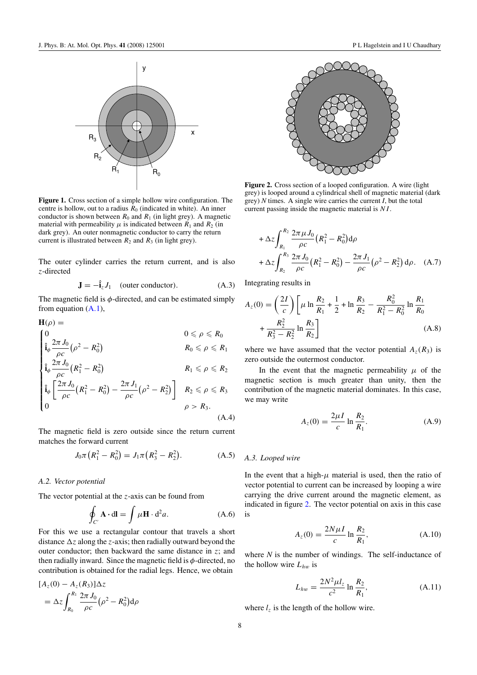<span id="page-7-0"></span>

**Figure 1.** Cross section of a simple hollow wire configuration. The centre is hollow, out to a radius  $R_0$  (indicated in white). An inner conductor is shown between  $R_0$  and  $R_1$  (in light grey). A magnetic material with permeability  $\mu$  is indicated between  $R_1$  and  $R_2$  (in dark grey). An outer nonmagnetic conductor to carry the return current is illustrated between  $R_2$  and  $R_3$  (in light grey).

The outer cylinder carries the return current, and is also *z*-directed

$$
\mathbf{J} = -\hat{\mathbf{i}}_z J_1 \quad \text{(outer conductor)}.\tag{A.3}
$$

The magnetic field is *φ*-directed, and can be estimated simply from equation [\(A](#page-6-0)*.*1),

$$
\mathbf{H}(\rho) = \n\begin{cases}\n0 & 0 \leq \rho \leq R_0 \\
\hat{\mathbf{i}}_{\phi} \frac{2\pi J_0}{\rho c} (\rho^2 - R_0^2) & R_0 \leq \rho \leq R_1 \\
\hat{\mathbf{i}}_{\phi} \frac{2\pi J_0}{\rho c} (R_1^2 - R_0^2) & R_1 \leq \rho \leq R_2 \\
\hat{\mathbf{i}}_{\phi} \left[ \frac{2\pi J_0}{\rho c} (R_1^2 - R_0^2) - \frac{2\pi J_1}{\rho c} (\rho^2 - R_2^2) \right] & R_2 \leq \rho \leq R_3 \\
0 & \rho > R_3.\n\end{cases}
$$
\n(A.4)

The magnetic field is zero outside since the return current matches the forward current

$$
J_0 \pi (R_1^2 - R_0^2) = J_1 \pi (R_3^2 - R_2^2). \tag{A.5}
$$

### *A.2. Vector potential*

The vector potential at the *z*-axis can be found from

$$
\oint_{C'} \mathbf{A} \cdot d\mathbf{l} = \int \mu \mathbf{H} \cdot d^2 a. \tag{A.6}
$$

For this we use a rectangular contour that travels a short distance  $\Delta z$  along the *z*-axis; then radially outward beyond the outer conductor; then backward the same distance in *z*; and then radially inward. Since the magnetic field is *φ*-directed, no contribution is obtained for the radial legs. Hence, we obtain

$$
[A_z(0) - A_z(R_3)]\Delta z
$$
  
=  $\Delta z \int_{R_0}^{R_1} \frac{2\pi J_0}{\rho c} (\rho^2 - R_0^2) d\rho$ 



**Figure 2.** Cross section of a looped configuration. A wire (light grey) is looped around a cylindrical shell of magnetic material (dark grey) *N* times. A single wire carries the current *I*, but the total current passing inside the magnetic material is *NI* .

$$
+\Delta z \int_{R_1}^{R_2} \frac{2\pi \mu J_0}{\rho c} (R_1^2 - R_0^2) d\rho
$$
  
+ 
$$
\Delta z \int_{R_2}^{R_3} \frac{2\pi J_0}{\rho c} (R_1^2 - R_0^2) - \frac{2\pi J_1}{\rho c} (\rho^2 - R_2^2) d\rho.
$$
 (A.7)

Integrating results in

$$
A_z(0) = \left(\frac{2I}{c}\right) \left[ \mu \ln \frac{R_2}{R_1} + \frac{1}{2} + \ln \frac{R_3}{R_2} - \frac{R_0^2}{R_1^2 - R_0^2} \ln \frac{R_1}{R_0} + \frac{R_2^2}{R_3^2 - R_2^2} \ln \frac{R_3}{R_2} \right]
$$
(A.8)

where we have assumed that the vector potential  $A_7(R_3)$  is zero outside the outermost conductor.

In the event that the magnetic permeability  $\mu$  of the magnetic section is much greater than unity, then the contribution of the magnetic material dominates. In this case, we may write

$$
A_z(0) = \frac{2\mu I}{c} \ln \frac{R_2}{R_1}.
$$
 (A.9)

#### *A.3. Looped wire*

In the event that a high- $\mu$  material is used, then the ratio of vector potential to current can be increased by looping a wire carrying the drive current around the magnetic element, as indicated in figure 2. The vector potential on axis in this case is

$$
A_z(0) = \frac{2N\mu I}{c} \ln \frac{R_2}{R_1},
$$
 (A.10)

where *N* is the number of windings. The self-inductance of the hollow wire *Lhw* is

$$
L_{hw} = \frac{2N^2\mu l_z}{c^2} \ln \frac{R_2}{R_1},
$$
 (A.11)

where  $l_z$  is the length of the hollow wire.